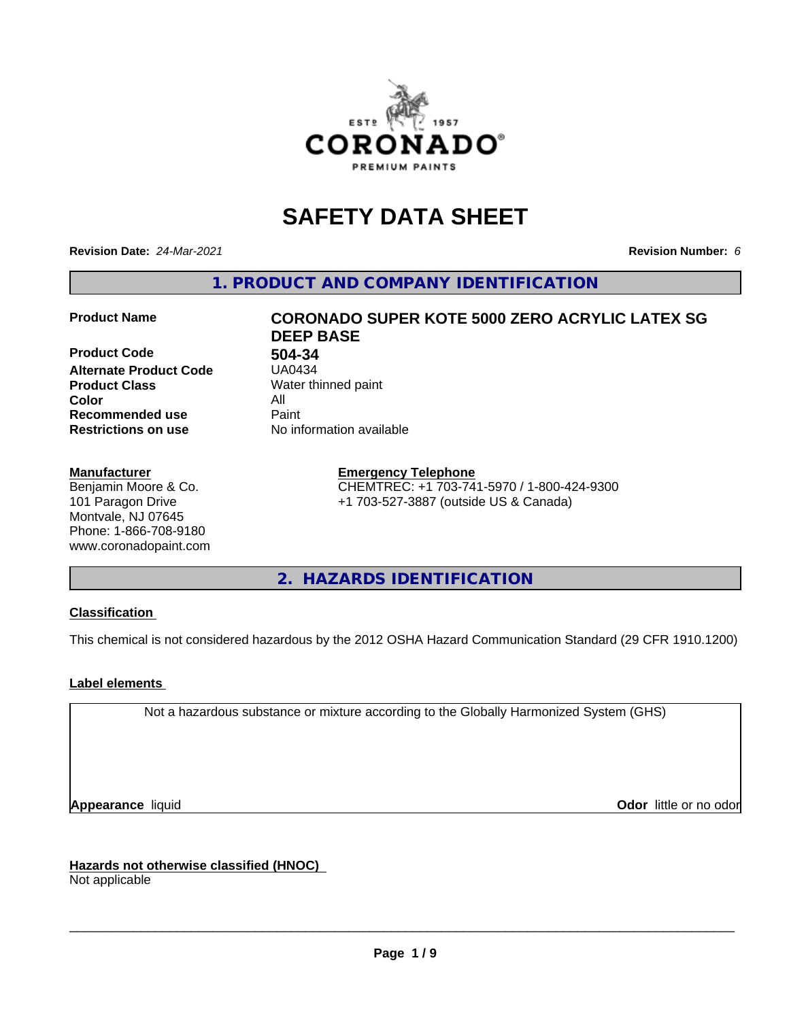

# **SAFETY DATA SHEET**

**Revision Date:** *24-Mar-2021* **Revision Number:** *6*

**1. PRODUCT AND COMPANY IDENTIFICATION**

**Product Code 504-34 Alternate Product Code Product Class** Water thinned paint<br> **Color** All **Color** All **Recommended use** Paint<br> **Restrictions on use** Mo information available **Restrictions on use** 

#### **Manufacturer**

Benjamin Moore & Co. 101 Paragon Drive Montvale, NJ 07645 Phone: 1-866-708-9180 www.coronadopaint.com

# **Product Name CORONADO SUPER KOTE 5000 ZERO ACRYLIC LATEX SG DEEP BASE**

**Emergency Telephone** CHEMTREC: +1 703-741-5970 / 1-800-424-9300 +1 703-527-3887 (outside US & Canada)

**2. HAZARDS IDENTIFICATION**

### **Classification**

This chemical is not considered hazardous by the 2012 OSHA Hazard Communication Standard (29 CFR 1910.1200)

### **Label elements**

Not a hazardous substance or mixture according to the Globally Harmonized System (GHS)

**Appearance** liquid **Contract Contract Contract Contract Contract Contract Contract Contract Contract Contract Contract Contract Contract Contract Contract Contract Contract Contract Contract Contract Contract Contract Con** 

**Hazards not otherwise classified (HNOC)**

Not applicable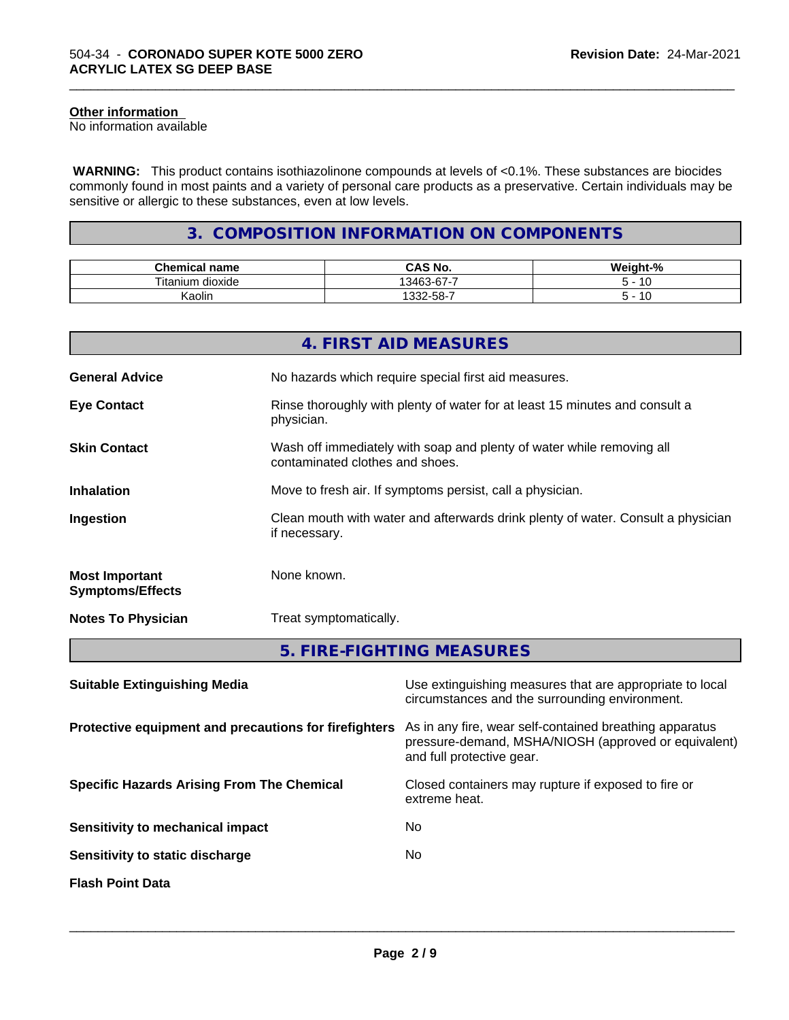### **Other information**

No information available

 **WARNING:** This product contains isothiazolinone compounds at levels of <0.1%. These substances are biocides commonly found in most paints and a variety of personal care products as a preservative. Certain individuals may be sensitive or allergic to these substances, even at low levels.

\_\_\_\_\_\_\_\_\_\_\_\_\_\_\_\_\_\_\_\_\_\_\_\_\_\_\_\_\_\_\_\_\_\_\_\_\_\_\_\_\_\_\_\_\_\_\_\_\_\_\_\_\_\_\_\_\_\_\_\_\_\_\_\_\_\_\_\_\_\_\_\_\_\_\_\_\_\_\_\_\_\_\_\_\_\_\_\_\_\_\_\_\_

## **3. COMPOSITION INFORMATION ON COMPONENTS**

| $\mathbf{a}$<br>Chemical<br>name    | $\sim$ $\cdot$<br>$\mathbf{L}$<br>NO.<br>טאט           | .<br>- 70 |
|-------------------------------------|--------------------------------------------------------|-----------|
| $- -$<br><br>⊺ıtan<br>dioxide<br>um | --<br>$\sim$<br>$\sqrt{2}$<br>$\overline{\phantom{a}}$ | -<br>' U  |
| Kaolin                              | -32-58-7                                               | ١υ        |

|                                                  | 4. FIRST AID MEASURES                                                                                    |
|--------------------------------------------------|----------------------------------------------------------------------------------------------------------|
| <b>General Advice</b>                            | No hazards which require special first aid measures.                                                     |
| <b>Eye Contact</b>                               | Rinse thoroughly with plenty of water for at least 15 minutes and consult a<br>physician.                |
| <b>Skin Contact</b>                              | Wash off immediately with soap and plenty of water while removing all<br>contaminated clothes and shoes. |
| <b>Inhalation</b>                                | Move to fresh air. If symptoms persist, call a physician.                                                |
| Ingestion                                        | Clean mouth with water and afterwards drink plenty of water. Consult a physician<br>if necessary.        |
| <b>Most Important</b><br><b>Symptoms/Effects</b> | None known.                                                                                              |
| <b>Notes To Physician</b>                        | Treat symptomatically.                                                                                   |
|                                                  | 5. FIRE-FIGHTING MEASURES                                                                                |

| Use extinguishing measures that are appropriate to local<br>circumstances and the surrounding environment.                                   |
|----------------------------------------------------------------------------------------------------------------------------------------------|
| As in any fire, wear self-contained breathing apparatus<br>pressure-demand, MSHA/NIOSH (approved or equivalent)<br>and full protective gear. |
| Closed containers may rupture if exposed to fire or<br>extreme heat.                                                                         |
| No.                                                                                                                                          |
| No.                                                                                                                                          |
|                                                                                                                                              |
|                                                                                                                                              |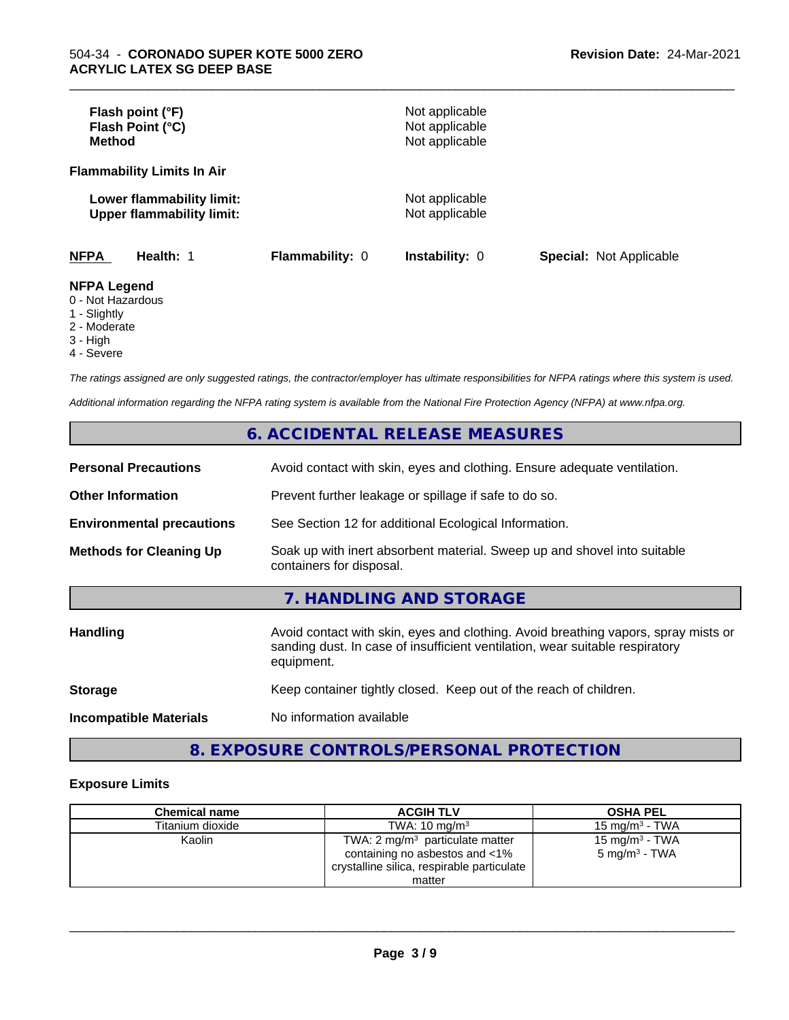| Flash point (°F)<br>Flash Point (°C)<br>Method                       |                        | Not applicable<br>Not applicable<br>Not applicable |                                |
|----------------------------------------------------------------------|------------------------|----------------------------------------------------|--------------------------------|
| <b>Flammability Limits In Air</b>                                    |                        |                                                    |                                |
| Lower flammability limit:<br><b>Upper flammability limit:</b>        |                        | Not applicable<br>Not applicable                   |                                |
| <b>NFPA</b><br>Health: 1                                             | <b>Flammability: 0</b> | <b>Instability: 0</b>                              | <b>Special: Not Applicable</b> |
| <b>NFPA Legend</b><br>0 - Not Hazardous<br>$\overline{A}$ Clientable |                        |                                                    |                                |

\_\_\_\_\_\_\_\_\_\_\_\_\_\_\_\_\_\_\_\_\_\_\_\_\_\_\_\_\_\_\_\_\_\_\_\_\_\_\_\_\_\_\_\_\_\_\_\_\_\_\_\_\_\_\_\_\_\_\_\_\_\_\_\_\_\_\_\_\_\_\_\_\_\_\_\_\_\_\_\_\_\_\_\_\_\_\_\_\_\_\_\_\_

1 - Slightly

2 - Moderate 3 - High

- 
- 4 Severe

*The ratings assigned are only suggested ratings, the contractor/employer has ultimate responsibilities for NFPA ratings where this system is used.*

*Additional information regarding the NFPA rating system is available from the National Fire Protection Agency (NFPA) at www.nfpa.org.*

## **6. ACCIDENTAL RELEASE MEASURES**

| <b>Personal Precautions</b>      | Avoid contact with skin, eyes and clothing. Ensure adequate ventilation.                                                                                                         |
|----------------------------------|----------------------------------------------------------------------------------------------------------------------------------------------------------------------------------|
| <b>Other Information</b>         | Prevent further leakage or spillage if safe to do so.                                                                                                                            |
| <b>Environmental precautions</b> | See Section 12 for additional Ecological Information.                                                                                                                            |
| <b>Methods for Cleaning Up</b>   | Soak up with inert absorbent material. Sweep up and shovel into suitable<br>containers for disposal.                                                                             |
|                                  | 7. HANDLING AND STORAGE                                                                                                                                                          |
| Handling                         | Avoid contact with skin, eyes and clothing. Avoid breathing vapors, spray mists or<br>sanding dust. In case of insufficient ventilation, wear suitable respiratory<br>equipment. |
| <b>Storage</b>                   | Keep container tightly closed. Keep out of the reach of children.                                                                                                                |
| <b>Incompatible Materials</b>    | No information available                                                                                                                                                         |

## **8. EXPOSURE CONTROLS/PERSONAL PROTECTION**

#### **Exposure Limits**

| <b>Chemical name</b> | <b>ACGIH TLV</b>                                                                                                           | <b>OSHA PEL</b>                               |
|----------------------|----------------------------------------------------------------------------------------------------------------------------|-----------------------------------------------|
| Titanium dioxide     | TWA: $10 \text{ ma/m}^3$                                                                                                   | 15 mg/m $3$ - TWA                             |
| Kaolin               | TWA: $2 \text{ mg/m}^3$ particulate matter<br>containing no asbestos and <1%<br>crystalline silica, respirable particulate | 15 mg/m $3$ - TWA<br>$5 \text{ mg/m}^3$ - TWA |
|                      | matter                                                                                                                     |                                               |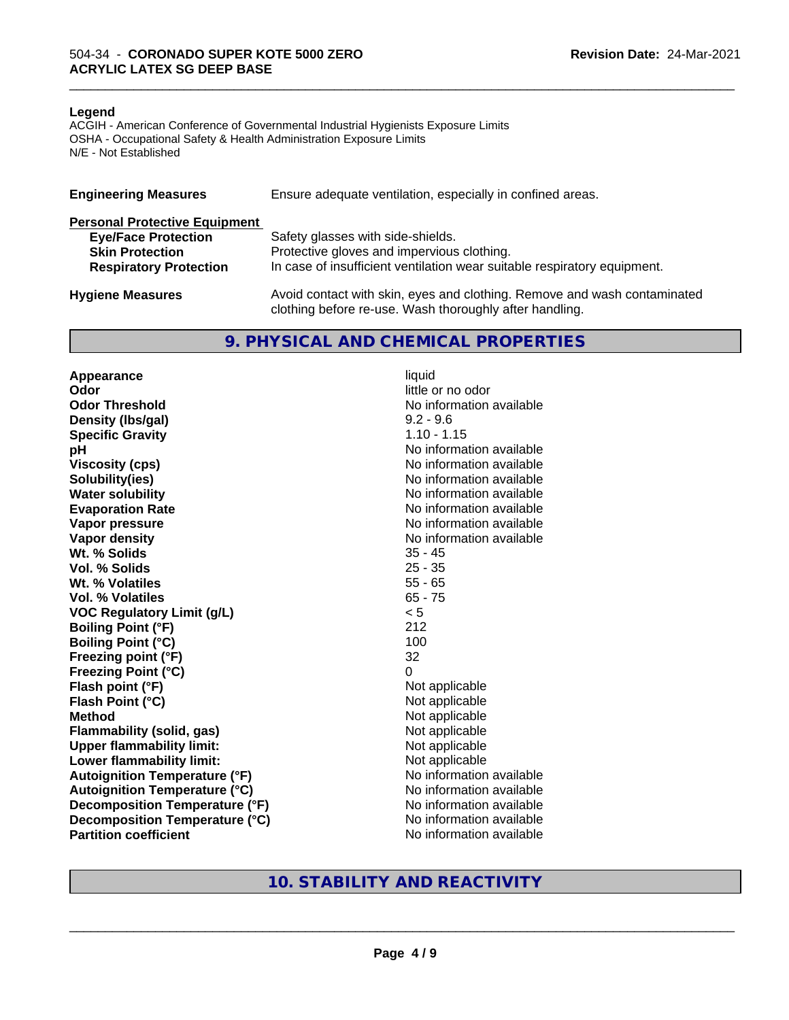#### **Legend**

ACGIH - American Conference of Governmental Industrial Hygienists Exposure Limits OSHA - Occupational Safety & Health Administration Exposure Limits N/E - Not Established

| <b>Engineering Measures</b>          | Ensure adequate ventilation, especially in confined areas.                                                                          |
|--------------------------------------|-------------------------------------------------------------------------------------------------------------------------------------|
| <b>Personal Protective Equipment</b> |                                                                                                                                     |
| <b>Eye/Face Protection</b>           | Safety glasses with side-shields.                                                                                                   |
| <b>Skin Protection</b>               | Protective gloves and impervious clothing.                                                                                          |
| <b>Respiratory Protection</b>        | In case of insufficient ventilation wear suitable respiratory equipment.                                                            |
| <b>Hygiene Measures</b>              | Avoid contact with skin, eyes and clothing. Remove and wash contaminated<br>clothing before re-use. Wash thoroughly after handling. |

#### **9. PHYSICAL AND CHEMICAL PROPERTIES**

**Appearance** liquid **Odor** little or no odor **Odor Threshold No information available No information available Density (lbs/gal)** 9.2 - 9.6 **Specific Gravity** 1.10 - 1.15 **pH pH**  $\blacksquare$ **Viscosity (cps)** No information available **Solubility(ies)** No information available **Water solubility** No information available **Evaporation Rate No information available No information available Vapor pressure** No information available **No information available Vapor density**<br> **We Solids**<br>
We Solids
25 - 45 Wt. % Solids **Vol. % Solids** 25 - 35 **Wt. % Volatiles** 55 - 65 **Vol. % Volatiles** 65 - 75 **VOC Regulatory Limit (g/L)** < 5 **Boiling Point (°F)** 212 **Boiling Point (°C)** 100 **Freezing point (°F)** 32 **Freezing Point (°C)** 0 **Flash point (°F)**<br> **Flash Point (°C)**<br> **Flash Point (°C)**<br> **C Flash Point (°C) Method** Not applicable **Flammability (solid, gas)**<br> **Upper flammability limit:**<br>
Upper flammability limit:<br>  $\begin{array}{ccc}\n\bullet & \bullet & \bullet \\
\bullet & \bullet & \bullet\n\end{array}$  Not applicable **Upper flammability limit:**<br> **Lower flammability limit:** Not applicable Not applicable **Lower flammability limit: Autoignition Temperature (°F)** No information available **Autoignition Temperature (°C)** No information available **Decomposition Temperature (°F)** No information available **Decomposition Temperature (°C)** No information available **Partition coefficient** No information available

\_\_\_\_\_\_\_\_\_\_\_\_\_\_\_\_\_\_\_\_\_\_\_\_\_\_\_\_\_\_\_\_\_\_\_\_\_\_\_\_\_\_\_\_\_\_\_\_\_\_\_\_\_\_\_\_\_\_\_\_\_\_\_\_\_\_\_\_\_\_\_\_\_\_\_\_\_\_\_\_\_\_\_\_\_\_\_\_\_\_\_\_\_

### **10. STABILITY AND REACTIVITY**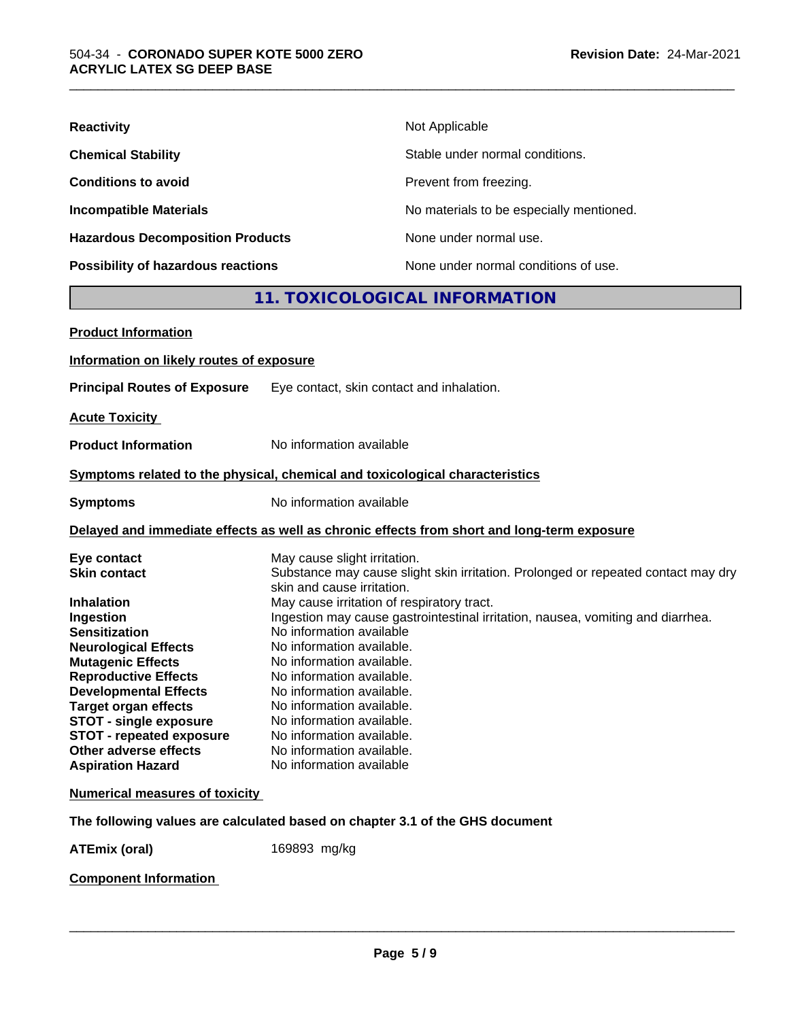| <b>Reactivity</b>                         | Not Applicable                           |
|-------------------------------------------|------------------------------------------|
| <b>Chemical Stability</b>                 | Stable under normal conditions.          |
| <b>Conditions to avoid</b>                | Prevent from freezing.                   |
| <b>Incompatible Materials</b>             | No materials to be especially mentioned. |
| <b>Hazardous Decomposition Products</b>   | None under normal use.                   |
| <b>Possibility of hazardous reactions</b> | None under normal conditions of use.     |

## **11. TOXICOLOGICAL INFORMATION**

\_\_\_\_\_\_\_\_\_\_\_\_\_\_\_\_\_\_\_\_\_\_\_\_\_\_\_\_\_\_\_\_\_\_\_\_\_\_\_\_\_\_\_\_\_\_\_\_\_\_\_\_\_\_\_\_\_\_\_\_\_\_\_\_\_\_\_\_\_\_\_\_\_\_\_\_\_\_\_\_\_\_\_\_\_\_\_\_\_\_\_\_\_

| <b>Product Information</b>                                                                                                                                                                                                                                                                                                                                              |                                                                                                                                                                                                                                                                                                                                                                                                                                                                                                                                                                                  |
|-------------------------------------------------------------------------------------------------------------------------------------------------------------------------------------------------------------------------------------------------------------------------------------------------------------------------------------------------------------------------|----------------------------------------------------------------------------------------------------------------------------------------------------------------------------------------------------------------------------------------------------------------------------------------------------------------------------------------------------------------------------------------------------------------------------------------------------------------------------------------------------------------------------------------------------------------------------------|
| Information on likely routes of exposure                                                                                                                                                                                                                                                                                                                                |                                                                                                                                                                                                                                                                                                                                                                                                                                                                                                                                                                                  |
| <b>Principal Routes of Exposure</b>                                                                                                                                                                                                                                                                                                                                     | Eye contact, skin contact and inhalation.                                                                                                                                                                                                                                                                                                                                                                                                                                                                                                                                        |
| <b>Acute Toxicity</b>                                                                                                                                                                                                                                                                                                                                                   |                                                                                                                                                                                                                                                                                                                                                                                                                                                                                                                                                                                  |
| <b>Product Information</b>                                                                                                                                                                                                                                                                                                                                              | No information available                                                                                                                                                                                                                                                                                                                                                                                                                                                                                                                                                         |
|                                                                                                                                                                                                                                                                                                                                                                         | Symptoms related to the physical, chemical and toxicological characteristics                                                                                                                                                                                                                                                                                                                                                                                                                                                                                                     |
| <b>Symptoms</b>                                                                                                                                                                                                                                                                                                                                                         | No information available                                                                                                                                                                                                                                                                                                                                                                                                                                                                                                                                                         |
|                                                                                                                                                                                                                                                                                                                                                                         | Delayed and immediate effects as well as chronic effects from short and long-term exposure                                                                                                                                                                                                                                                                                                                                                                                                                                                                                       |
| Eye contact<br><b>Skin contact</b><br><b>Inhalation</b><br>Ingestion<br><b>Sensitization</b><br><b>Neurological Effects</b><br><b>Mutagenic Effects</b><br><b>Reproductive Effects</b><br><b>Developmental Effects</b><br><b>Target organ effects</b><br><b>STOT - single exposure</b><br>STOT - repeated exposure<br>Other adverse effects<br><b>Aspiration Hazard</b> | May cause slight irritation.<br>Substance may cause slight skin irritation. Prolonged or repeated contact may dry<br>skin and cause irritation.<br>May cause irritation of respiratory tract.<br>Ingestion may cause gastrointestinal irritation, nausea, vomiting and diarrhea.<br>No information available<br>No information available.<br>No information available.<br>No information available.<br>No information available.<br>No information available.<br>No information available.<br>No information available.<br>No information available.<br>No information available |
| <b>Numerical measures of toxicity</b>                                                                                                                                                                                                                                                                                                                                   |                                                                                                                                                                                                                                                                                                                                                                                                                                                                                                                                                                                  |
|                                                                                                                                                                                                                                                                                                                                                                         | The following values are calculated based on chapter 3.1 of the GHS document                                                                                                                                                                                                                                                                                                                                                                                                                                                                                                     |
| <b>ATEmix (oral)</b>                                                                                                                                                                                                                                                                                                                                                    | 169893 mg/kg                                                                                                                                                                                                                                                                                                                                                                                                                                                                                                                                                                     |

### **Component Information**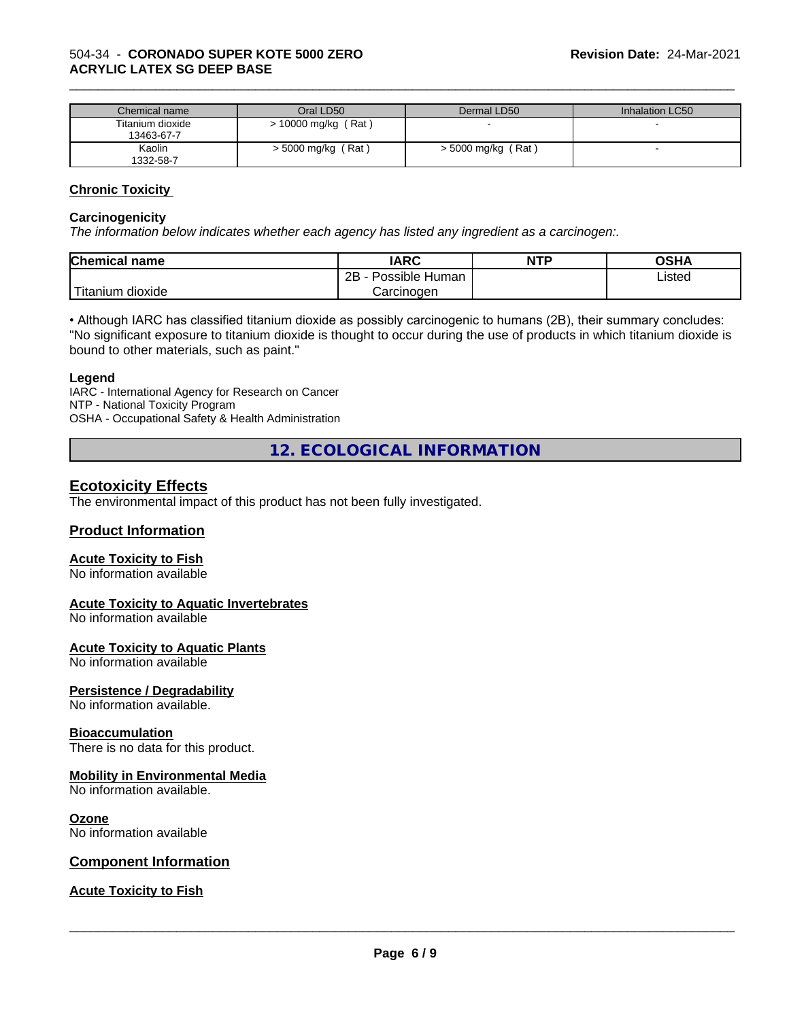| Chemical name                  | Oral LD50            | Dermal LD50          | Inhalation LC50 |
|--------------------------------|----------------------|----------------------|-----------------|
| Titanium dioxide<br>13463-67-7 | > 10000 mg/kg (Rat)  |                      |                 |
| Kaolin<br>1332-58-7            | $>$ 5000 mg/kg (Rat) | $>$ 5000 mg/kg (Rat) |                 |

\_\_\_\_\_\_\_\_\_\_\_\_\_\_\_\_\_\_\_\_\_\_\_\_\_\_\_\_\_\_\_\_\_\_\_\_\_\_\_\_\_\_\_\_\_\_\_\_\_\_\_\_\_\_\_\_\_\_\_\_\_\_\_\_\_\_\_\_\_\_\_\_\_\_\_\_\_\_\_\_\_\_\_\_\_\_\_\_\_\_\_\_\_

#### **Chronic Toxicity**

#### **Carcinogenicity**

*The information below indicateswhether each agency has listed any ingredient as a carcinogen:.*

| <b>Chemical</b><br>name                                                                                                                         | <b>IARC</b>                    | <b>NTP</b> | <b>OSHA</b> |
|-------------------------------------------------------------------------------------------------------------------------------------------------|--------------------------------|------------|-------------|
|                                                                                                                                                 | .<br>2B<br>Possible<br>Human - |            | Listed      |
| <b>The Contract of the Contract of the Contract of the Contract of the Contract of the Contract of the Contract o</b><br>n dioxide<br>l itanıum | Carcinoɑen                     |            |             |

• Although IARC has classified titanium dioxide as possibly carcinogenic to humans (2B), their summary concludes: "No significant exposure to titanium dioxide is thought to occur during the use of products in which titanium dioxide is bound to other materials, such as paint."

#### **Legend**

IARC - International Agency for Research on Cancer NTP - National Toxicity Program OSHA - Occupational Safety & Health Administration

**12. ECOLOGICAL INFORMATION**

### **Ecotoxicity Effects**

The environmental impact of this product has not been fully investigated.

#### **Product Information**

#### **Acute Toxicity to Fish**

No information available

#### **Acute Toxicity to Aquatic Invertebrates**

No information available

#### **Acute Toxicity to Aquatic Plants**

No information available

#### **Persistence / Degradability**

No information available.

#### **Bioaccumulation**

There is no data for this product.

#### **Mobility in Environmental Media**

No information available.

#### **Ozone**

No information available

#### **Component Information**

#### **Acute Toxicity to Fish**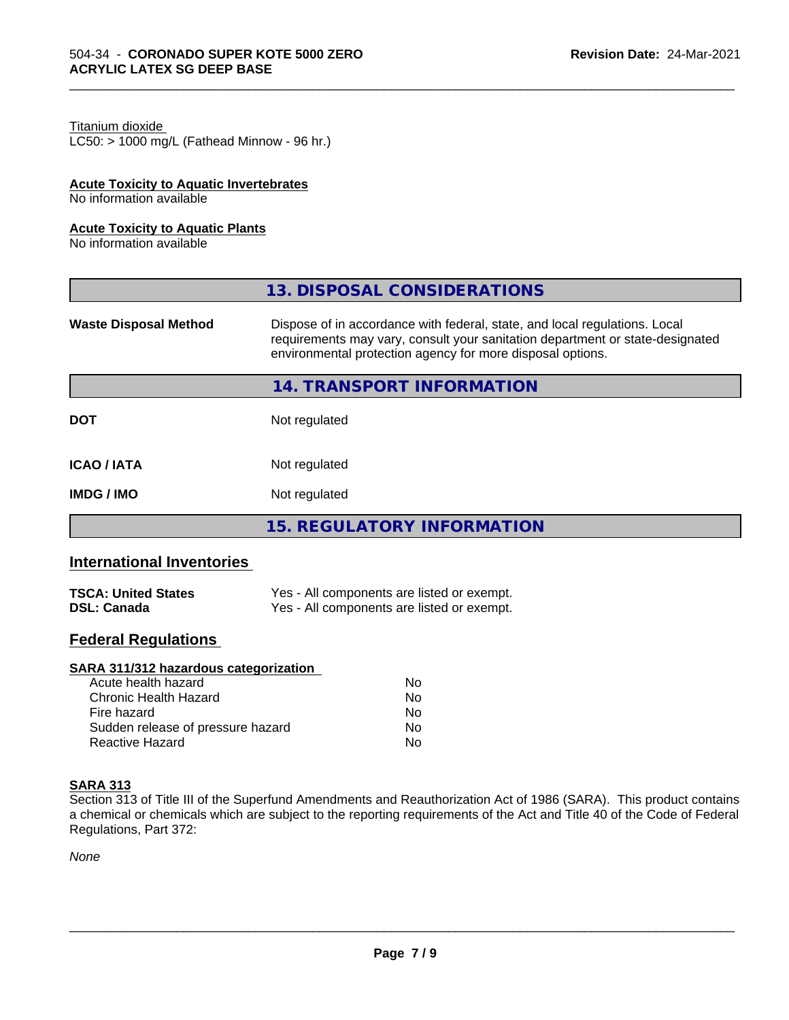### Titanium dioxide

 $LC50:$  > 1000 mg/L (Fathead Minnow - 96 hr.)

#### **Acute Toxicity to Aquatic Invertebrates**

No information available

#### **Acute Toxicity to Aquatic Plants**

No information available

|                              | 13. DISPOSAL CONSIDERATIONS                                                                                                                                                                                               |
|------------------------------|---------------------------------------------------------------------------------------------------------------------------------------------------------------------------------------------------------------------------|
| <b>Waste Disposal Method</b> | Dispose of in accordance with federal, state, and local regulations. Local<br>requirements may vary, consult your sanitation department or state-designated<br>environmental protection agency for more disposal options. |
|                              | 14. TRANSPORT INFORMATION                                                                                                                                                                                                 |
| <b>DOT</b>                   | Not regulated                                                                                                                                                                                                             |
| <b>ICAO/IATA</b>             | Not regulated                                                                                                                                                                                                             |
| <b>IMDG/IMO</b>              | Not regulated                                                                                                                                                                                                             |
|                              | <b>15. REGULATORY INFORMATION</b>                                                                                                                                                                                         |

\_\_\_\_\_\_\_\_\_\_\_\_\_\_\_\_\_\_\_\_\_\_\_\_\_\_\_\_\_\_\_\_\_\_\_\_\_\_\_\_\_\_\_\_\_\_\_\_\_\_\_\_\_\_\_\_\_\_\_\_\_\_\_\_\_\_\_\_\_\_\_\_\_\_\_\_\_\_\_\_\_\_\_\_\_\_\_\_\_\_\_\_\_

### **International Inventories**

| <b>TSCA: United States</b> | Yes - All components are listed or exempt. |
|----------------------------|--------------------------------------------|
| <b>DSL: Canada</b>         | Yes - All components are listed or exempt. |

### **Federal Regulations**

#### **SARA 311/312 hazardous categorization**

| Acute health hazard               | No. |
|-----------------------------------|-----|
| Chronic Health Hazard             | N٥  |
| Fire hazard                       | Nο  |
| Sudden release of pressure hazard | Nο  |
| Reactive Hazard                   | N٥  |

#### **SARA 313**

Section 313 of Title III of the Superfund Amendments and Reauthorization Act of 1986 (SARA). This product contains a chemical or chemicals which are subject to the reporting requirements of the Act and Title 40 of the Code of Federal Regulations, Part 372:

*None*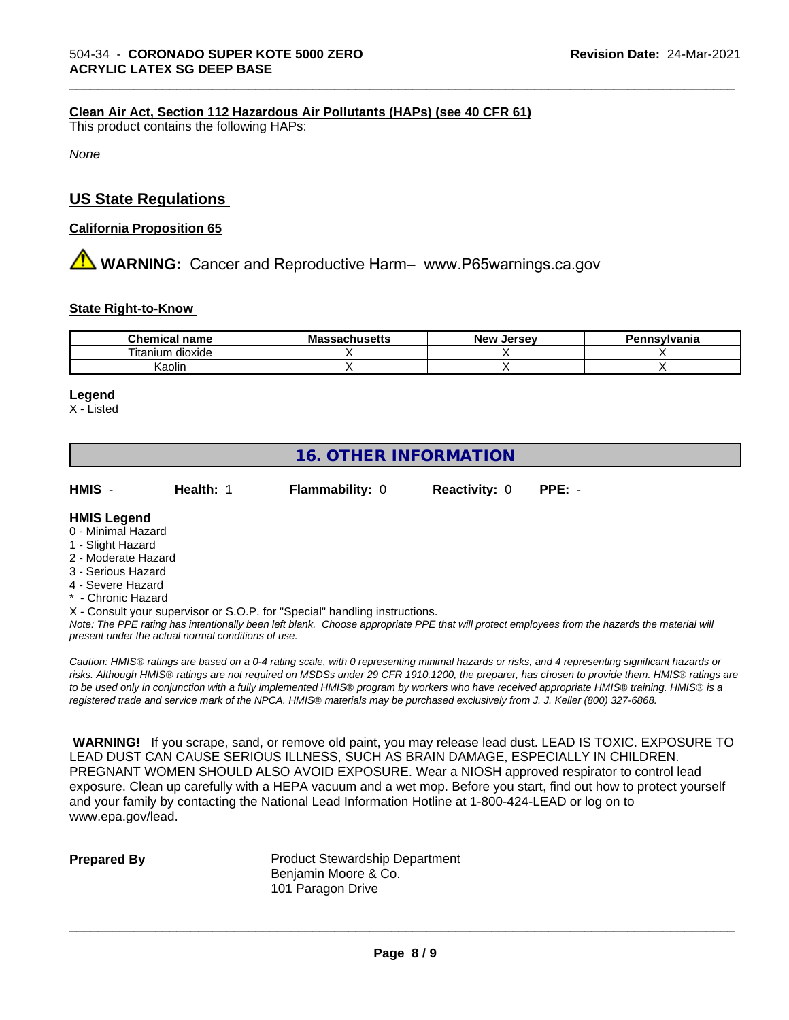#### **Clean Air Act,Section 112 Hazardous Air Pollutants (HAPs) (see 40 CFR 61)**

This product contains the following HAPs:

*None*

### **US State Regulations**

#### **California Proposition 65**

**AVIMARNING:** Cancer and Reproductive Harm– www.P65warnings.ca.gov

#### **State Right-to-Know**

| <b>Chemical</b><br>name | . .<br>M -<br>טוועס | Jersev<br><b>Nev</b> | svivania |
|-------------------------|---------------------|----------------------|----------|
| dioxide<br>i itanıum    |                     |                      |          |
| Kaolin                  |                     |                      |          |

\_\_\_\_\_\_\_\_\_\_\_\_\_\_\_\_\_\_\_\_\_\_\_\_\_\_\_\_\_\_\_\_\_\_\_\_\_\_\_\_\_\_\_\_\_\_\_\_\_\_\_\_\_\_\_\_\_\_\_\_\_\_\_\_\_\_\_\_\_\_\_\_\_\_\_\_\_\_\_\_\_\_\_\_\_\_\_\_\_\_\_\_\_

#### **Legend**

X - Listed

## **16. OTHER INFORMATION**

**HMIS** - **Health:** 1 **Flammability:** 0 **Reactivity:** 0 **PPE:** -

#### **HMIS Legend**

- 0 Minimal Hazard
- 1 Slight Hazard
- 2 Moderate Hazard
- 3 Serious Hazard
- 4 Severe Hazard
- **Chronic Hazard**

X - Consult your supervisor or S.O.P. for "Special" handling instructions.

*Note: The PPE rating has intentionally been left blank. Choose appropriate PPE that will protect employees from the hazards the material will present under the actual normal conditions of use.*

*Caution: HMISÒ ratings are based on a 0-4 rating scale, with 0 representing minimal hazards or risks, and 4 representing significant hazards or risks. Although HMISÒ ratings are not required on MSDSs under 29 CFR 1910.1200, the preparer, has chosen to provide them. HMISÒ ratings are to be used only in conjunction with a fully implemented HMISÒ program by workers who have received appropriate HMISÒ training. HMISÒ is a registered trade and service mark of the NPCA. HMISÒ materials may be purchased exclusively from J. J. Keller (800) 327-6868.*

 **WARNING!** If you scrape, sand, or remove old paint, you may release lead dust. LEAD IS TOXIC. EXPOSURE TO LEAD DUST CAN CAUSE SERIOUS ILLNESS, SUCH AS BRAIN DAMAGE, ESPECIALLY IN CHILDREN. PREGNANT WOMEN SHOULD ALSO AVOID EXPOSURE.Wear a NIOSH approved respirator to control lead exposure. Clean up carefully with a HEPA vacuum and a wet mop. Before you start, find out how to protect yourself and your family by contacting the National Lead Information Hotline at 1-800-424-LEAD or log on to www.epa.gov/lead.

**Prepared By** Product Stewardship Department Benjamin Moore & Co. 101 Paragon Drive